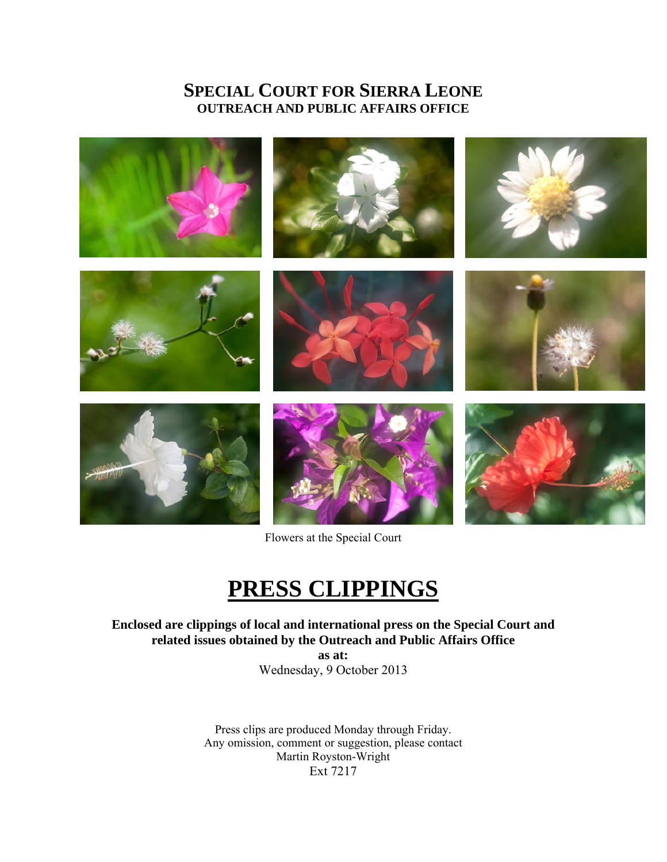# **SPECIAL COURT FOR SIERRA LEONE OUTREACH AND PUBLIC AFFAIRS OFFICE**



Flowers at the Special Court

# **PRESS CLIPPINGS**

**Enclosed are clippings of local and international press on the Special Court and related issues obtained by the Outreach and Public Affairs Office** 

> **as at:**  Wednesday, 9 October 2013

Press clips are produced Monday through Friday. Any omission, comment or suggestion, please contact Martin Royston-Wright Ext 7217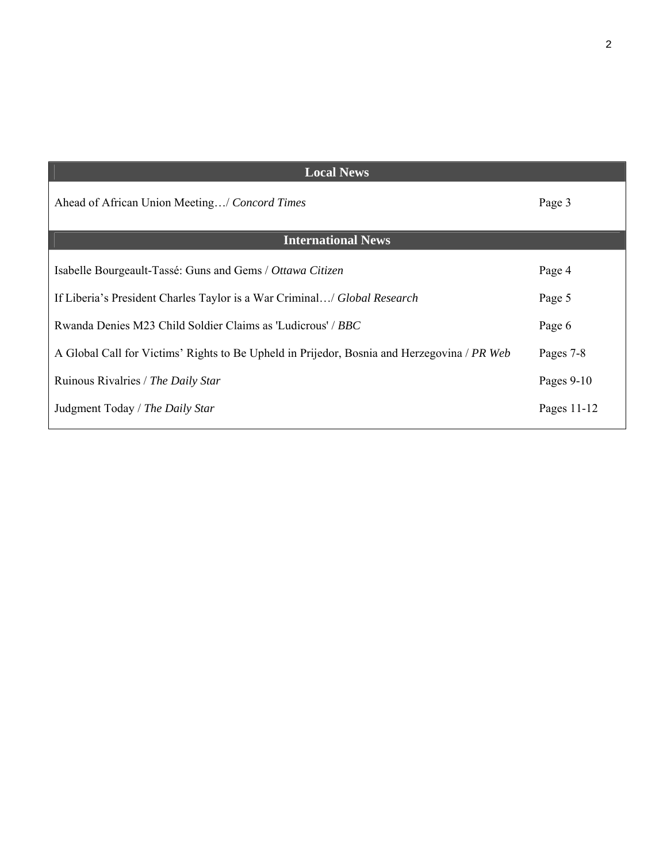| <b>Local News</b>                                                                           |              |
|---------------------------------------------------------------------------------------------|--------------|
| Ahead of African Union Meeting/ Concord Times                                               | Page 3       |
| <b>International News</b>                                                                   |              |
| Isabelle Bourgeault-Tassé: Guns and Gems / Ottawa Citizen                                   | Page 4       |
| If Liberia's President Charles Taylor is a War Criminal/ Global Research                    | Page 5       |
| Rwanda Denies M23 Child Soldier Claims as 'Ludicrous' / BBC                                 | Page 6       |
| A Global Call for Victims' Rights to Be Upheld in Prijedor, Bosnia and Herzegovina / PR Web | Pages 7-8    |
| Ruinous Rivalries / The Daily Star                                                          | Pages $9-10$ |
| Judgment Today / The Daily Star                                                             | Pages 11-12  |
|                                                                                             |              |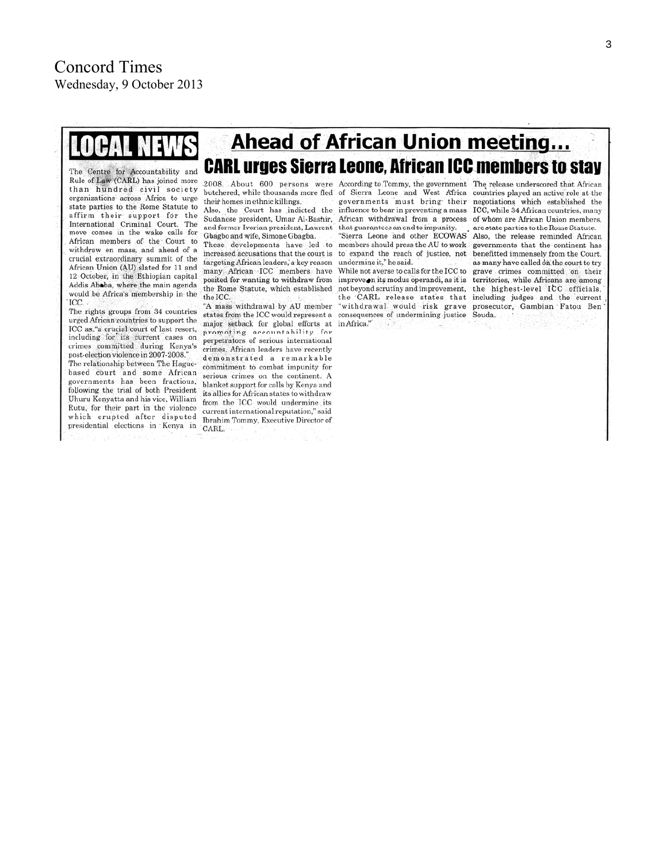

#### **CARL urges Sierra Leone. African ICC members to stav** The Centre for Accountability and Rule of Law (CARL) has joined more than hundred civil society organizations across Africa to urge state parties to the Rome Statute to affirm their support for the International Criminal Court. The move comes in the wake calls for African members of the Court to withdraw en mass, and ahead of a crucial extraordinary summit of the African Union (AU) slated for 11 and 12 October, in the Ethiopian capital Addis Ababa, where the main agenda would be Africa's membership in the

ICC. The rights groups from 34 countries urged African countries to support the ICC as "a crucial court of last resort, including for its current cases on crimes committed during Kenya's post-election violence in 2007-2008." The relationship between The Haguebased court and some African governments has been fractious. following the trial of both President Uhuru Kenyatta and his vice, William Rutu, for their part in the violence which erupted after disputed presidential elections in Kenya in CARL.

butchered, while thousands more fled of Sierra Leone and West Africa countries played an active role at the their homes in ethnic killings.

Also, the Court has indicted the Sudanese president, Umar Al-Bashir, and former Ivorian president, Laurent Gbagbo and wife, Simone Gbagba.

increased accusations that the court is targeting African leaders, a key reason undermine it," he said. many African ICC members have posited for wanting to withdraw from improveon its modus operandi, as it is territories, while Africans are among the Rome Statute, which established the ICC.

"A mass withdrawal by AU member states from the ICC would represent a major setback for global efforts at promoting accountability for perpetrators of serious international crimes. African leaders have recently demonstrated a remarkable commitment to combat impunity for serious crimes on the continent. A blanket support for calls by Kenya and its allies for African states to withdraw from the ICC would undermine its current international reputation," said Ibrahim Tommy, Executive Director of

governments must bring their influence to bear in preventing a mass ICC, while 34 African countries, many African withdrawal from a process of whom are African Union members, that guarantees an end to impunity. "Sierra Leone and other ECOWAS Also, the release reminded African These developments have led to members should press the AU to work governments that the continent has to expand the reach of justice, not

**Ahead of African Union meeting...** 

not beyond scrutiny and improvement, the highest-level ICC officials. consequences of undermining justice Souda.  $in Africa."$ 

2008. About 600 persons were According to Tommy, the government The release underscored that African negotiations which established the are state parties to the Rome Statute. benefitted immensely from the Court, as many have called on the court to try While not averse to calls for the ICC to grave crimes committed on their the CARL release states that including judges and the current "withdrawal would risk grave prosecutor, Gambian Fatou Ben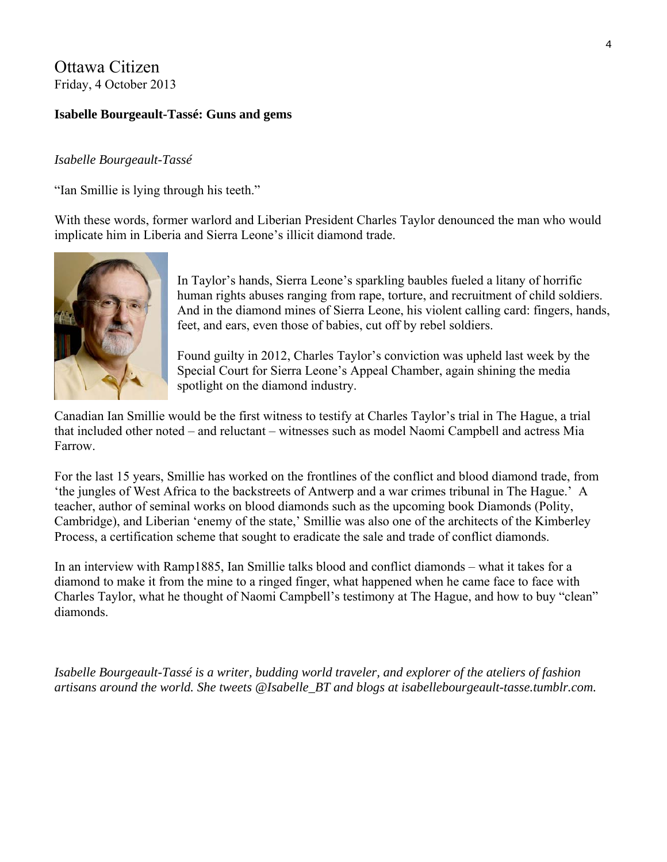# Ottawa Citizen Friday, 4 October 2013

### **Isabelle Bourgeault-Tassé: Guns and gems**

#### *Isabelle Bourgeault-Tassé*

["Ian Smillie is lying through his teeth."](http://http/www.idrc.ca/EN/Resources/Publications/Pages/IDRCBookDetails.aspx?PublicationID=66) 

With these words, former warlord and Liberian President Charles Taylor denounced the man who would implicate him in Liberia and Sierra Leone's illicit diamond trade.



In Taylor's hands, Sierra Leone's sparkling baubles fueled a litany of horrific human rights abuses ranging from rape, torture, and recruitment of child soldiers. And in the diamond mines of Sierra Leone, his violent calling card: fingers, hands, feet, and ears, even those of babies, cut off by rebel soldiers.

[Found guilty in 2012,](http://http/www.theglobeandmail.com/commentary/liberian-dictator-wanted-the-carats-got-the-stick/article4102943/#dashboard/follows/) [Charles Taylor's conviction was upheld](http://http/www.cbc.ca/news/world/charles-taylor-loses-war-crimes-appeal-1.1868982) last week by the Special Court for Sierra Leone's Appeal Chamber, again shining the media spotlight on the diamond industry.

Canadian Ian Smillie would be the first witness to testify at Charles Taylor's trial in The Hague, a trial that included other noted – and reluctant – witnesses such as model [Naomi Campbell](http://www.charlestaylortrial.org/2010/08/05/naomi-campbell-testifies-in-the-charles-taylor-trial-says-she-received-dirty-looking-stones-from-two-men/http:/) and actress [Mia](http://http/www.charlestaylortrial.org/2010/08/09/mia-farrow-and-carole-white-contradict-naomi-campbells-testimony/)  [Farrow.](http://http/www.charlestaylortrial.org/2010/08/09/mia-farrow-and-carole-white-contradict-naomi-campbells-testimony/)

For the last 15 years, Smillie has worked on the frontlines of the conflict and blood diamond trade, from '[the jungles of West Africa to the backstreets of Antwerp and a war crimes tribunal in The Hague](http://www.anthempress.com/blood-on-the-stone-pb).' A teacher, author of seminal works on blood diamonds such as the upcoming book Diamonds (Polity, Cambridge), and Liberian 'enemy of the state,' Smillie was also one of the architects of the [Kimberley](http://www.kimberleyprocess.com/)  [Process,](http://www.kimberleyprocess.com/) a certification scheme that sought to eradicate the sale and trade of conflict diamonds.

In an interview with Ramp1885, Ian Smillie talks blood and conflict diamonds – what it takes for a diamond to make it from the mine to a ringed finger, what happened when he came face to face with Charles Taylor, what he thought of Naomi Campbell's testimony at The Hague, and how to buy "clean" diamonds.

*Isabelle Bourgeault-Tassé is a writer, budding world traveler, and explorer of the ateliers of fashion artisans around the world. She tweets @Isabelle\_BT and blogs at isabellebourgeault-tasse.tumblr.com.*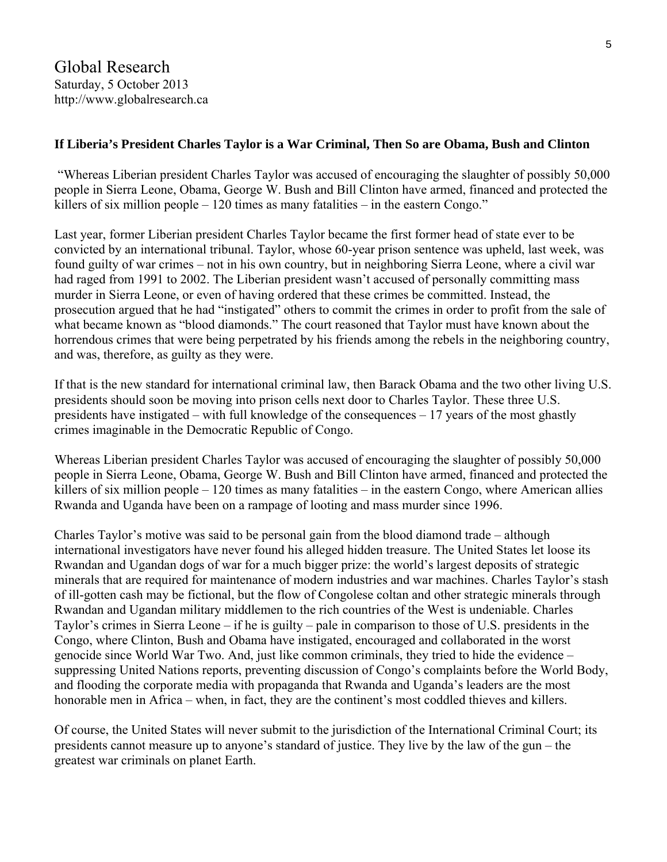### **If Liberia's President Charles Taylor is a War Criminal, Then So are Obama, Bush and Clinton**

 "Whereas Liberian president Charles Taylor was accused of encouraging the slaughter of possibly 50,000 people in Sierra Leone, Obama, George W. Bush and Bill Clinton have armed, financed and protected the killers of six million people – 120 times as many fatalities – in the eastern Congo."

Last year, former Liberian president Charles Taylor became the first former head of state ever to be convicted by an international tribunal. Taylor, whose 60-year prison sentence was upheld, last week, was found guilty of war crimes – not in his own country, but in neighboring Sierra Leone, where a civil war had raged from 1991 to 2002. The Liberian president wasn't accused of personally committing mass murder in Sierra Leone, or even of having ordered that these crimes be committed. Instead, the prosecution argued that he had "instigated" others to commit the crimes in order to profit from the sale of what became known as "blood diamonds." The court reasoned that Taylor must have known about the horrendous crimes that were being perpetrated by his friends among the rebels in the neighboring country, and was, therefore, as guilty as they were.

If that is the new standard for international criminal law, then Barack Obama and the two other living U.S. presidents should soon be moving into prison cells next door to Charles Taylor. These three U.S. presidents have instigated – with full knowledge of the consequences – 17 years of the most ghastly crimes imaginable in the Democratic Republic of Congo.

Whereas Liberian president Charles Taylor was accused of encouraging the slaughter of possibly 50,000 people in Sierra Leone, Obama, George W. Bush and Bill Clinton have armed, financed and protected the killers of six million people – 120 times as many fatalities – in the eastern Congo, where American allies Rwanda and Uganda have been on a rampage of looting and mass murder since 1996.

Charles Taylor's motive was said to be personal gain from the blood diamond trade – although international investigators have never found his alleged hidden treasure. The United States let loose its Rwandan and Ugandan dogs of war for a much bigger prize: the world's largest deposits of strategic minerals that are required for maintenance of modern industries and war machines. Charles Taylor's stash of ill-gotten cash may be fictional, but the flow of Congolese coltan and other strategic minerals through Rwandan and Ugandan military middlemen to the rich countries of the West is undeniable. Charles Taylor's crimes in Sierra Leone – if he is guilty – pale in comparison to those of U.S. presidents in the Congo, where Clinton, Bush and Obama have instigated, encouraged and collaborated in the worst genocide since World War Two. And, just like common criminals, they tried to hide the evidence – suppressing United Nations reports, preventing discussion of Congo's complaints before the World Body, and flooding the corporate media with propaganda that Rwanda and Uganda's leaders are the most honorable men in Africa – when, in fact, they are the continent's most coddled thieves and killers.

Of course, the United States will never submit to the jurisdiction of the International Criminal Court; its presidents cannot measure up to anyone's standard of justice. They live by the law of the gun – the greatest war criminals on planet Earth.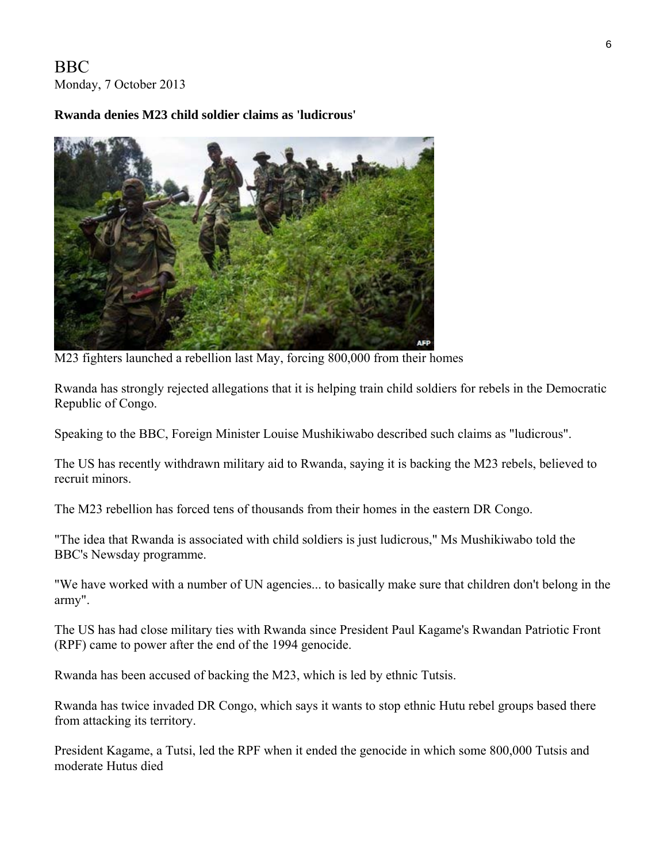# BBC Monday, 7 October 2013

# **Rwanda denies M23 child soldier claims as 'ludicrous'**



M23 fighters launched a rebellion last May, forcing 800,000 from their homes

Rwanda has strongly rejected allegations that it is helping train child soldiers for rebels in the Democratic Republic of Congo.

Speaking to the BBC, Foreign Minister Louise Mushikiwabo described such claims as "ludicrous".

The US has recently withdrawn military aid to Rwanda, saying it is backing the M23 rebels, believed to recruit minors.

The M23 rebellion has forced tens of thousands from their homes in the eastern DR Congo.

"The idea that Rwanda is associated with child soldiers is just ludicrous," Ms Mushikiwabo told the BBC's Newsday programme.

"We have worked with a number of UN agencies... to basically make sure that children don't belong in the army".

The US has had close military ties with Rwanda since President Paul Kagame's Rwandan Patriotic Front (RPF) came to power after the end of the 1994 genocide.

Rwanda has been accused of backing the M23, which is led by ethnic Tutsis.

Rwanda has twice invaded DR Congo, which says it wants to stop ethnic Hutu rebel groups based there from attacking its territory.

President Kagame, a Tutsi, led the RPF when it ended the genocide in which some 800,000 Tutsis and moderate Hutus died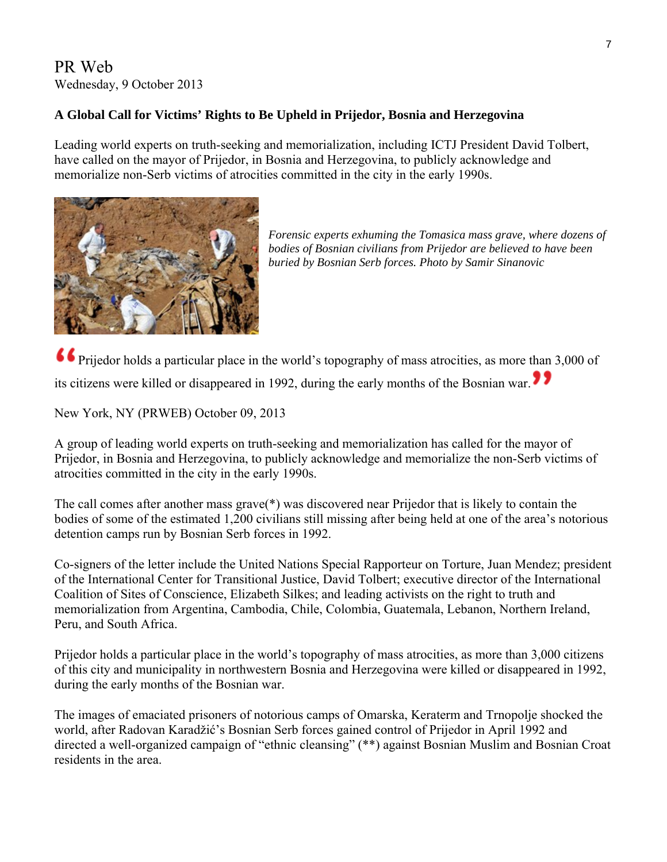# PR Web Wednesday, 9 October 2013

# **A Global Call for Victims' Rights to Be Upheld in Prijedor, Bosnia and Herzegovina**

Leading world experts on truth-seeking and memorialization, including ICTJ President David Tolbert, have called on the mayor of Prijedor, in Bosnia and Herzegovina, to publicly acknowledge and memorialize non-Serb victims of atrocities committed in the city in the early 1990s.



*Forensic experts exhuming the Tomasica mass grave, where dozens of bodies of Bosnian civilians from Prijedor are believed to have been buried by Bosnian Serb forces. Photo by Samir Sinanovic* 

Prijedor holds a particular place in the world's topography of mass atrocities, as more than 3,000 of its citizens were killed or disappeared in 1992, during the early months of the Bosnian war.

New York, NY (PRWEB) October 09, 2013

A group of leading world experts on truth-seeking and memorialization has called for the mayor of Prijedor, in Bosnia and Herzegovina, to publicly acknowledge and memorialize the non-Serb victims of atrocities committed in the city in the early 1990s.

The [call](http://ictj.org/sites/default/files/ICTJ-Prijedor-Bosnia-Herzegovina-Letter-New-2013.pdf) comes after another [mass grave](http://bigstory.ap.org/article/bosnia-experts-find-large-mass-grave)(\*) was discovered near Prijedor that is likely to contain the bodies of some of the estimated 1,200 civilians still missing after being held at one of the area's notorious detention camps run by Bosnian Serb forces in 1992.

Co-signers of the letter include the United Nations Special Rapporteur on Torture, Juan Mendez; president of the International Center for Transitional Justice, David Tolbert; executive director of the International Coalition of Sites of Conscience, Elizabeth Silkes; and leading activists on the right to truth and memorialization from Argentina, Cambodia, Chile, Colombia, Guatemala, Lebanon, Northern Ireland, Peru, and South Africa.

Prijedor holds a particular place in the world's topography of mass atrocities, as more than 3,000 citizens of this city and municipality in northwestern Bosnia and Herzegovina were killed or disappeared in 1992, during the early months of the Bosnian war.

The images of emaciated prisoners of notorious camps of [Omarska, Keraterm and Trnopolje](http://www.pbs.org/wgbh/pages/frontline/shows/karadzic/atrocities/omarska.html) shocked the world, after [Radovan Karadži](http://www.icty.org/x/cases/karadzic/cis/en/cis_karadzic_en.pdf)ć's Bosnian Serb forces gained control of Prijedor in April 1992 and directed a [well-organized campaign of "ethnic cleansing"](http://www.sense-agency.com/icty.29.html?news_id=12288) (\*\*) against Bosnian Muslim and Bosnian Croat residents in the area.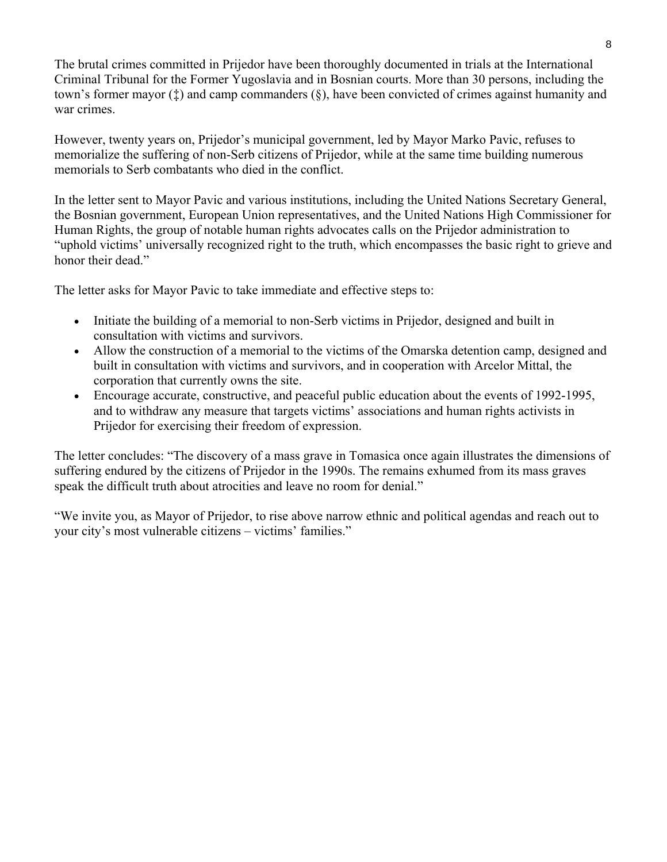The brutal crimes committed in Prijedor have been thoroughly documented in trials at the International Criminal Tribunal for the Former Yugoslavia and in [Bosnian courts.](http://www.sudbih.gov.ba/?opcija=predmeti&id=33&jezik=e) More than 30 persons, including the town's former mayor  $(f)$  and camp commanders  $(\xi)$ , have been convicted of crimes against humanity and war crimes.

However, twenty years on, Prijedor's municipal government, led by Mayor Marko Pavic, [refuses to](http://www.transconflict.com/2013/01/the-culture-of-denial-in-prijedor-291/)  [memorialize the suffering of non-Serb](http://www.transconflict.com/2013/01/the-culture-of-denial-in-prijedor-291/) citizens of Prijedor, while at the same time building numerous memorials to Serb combatants who died in the conflict.

In the letter sent to Mayor Pavic and various institutions, including the United Nations Secretary General, the Bosnian government, European Union representatives, and the United Nations High Commissioner for Human Rights, the group of notable human rights advocates calls on the Prijedor administration to "uphold victims' universally recognized right to the truth, which encompasses the basic right to grieve and honor their dead."

The letter asks for Mayor Pavic to take immediate and effective steps to:

- Initiate the building of a memorial to non-Serb victims in Prijedor, designed and built in consultation with victims and survivors.
- Allow the construction of a memorial to the victims of the Omarska detention camp, designed and built in consultation with victims and survivors, and in cooperation with Arcelor Mittal, the corporation that currently owns the site.
- Encourage accurate, constructive, and peaceful public education about the events of 1992-1995, and to withdraw any measure that targets victims' associations and human rights activists in Prijedor for exercising their freedom of expression.

The letter concludes: "The discovery of a mass grave in Tomasica once again illustrates the dimensions of suffering endured by the citizens of Prijedor in the 1990s. The remains exhumed from its mass graves speak the difficult truth about atrocities and leave no room for denial."

"We invite you, as Mayor of Prijedor, to rise above narrow ethnic and political agendas and reach out to your city's most vulnerable citizens – victims' families."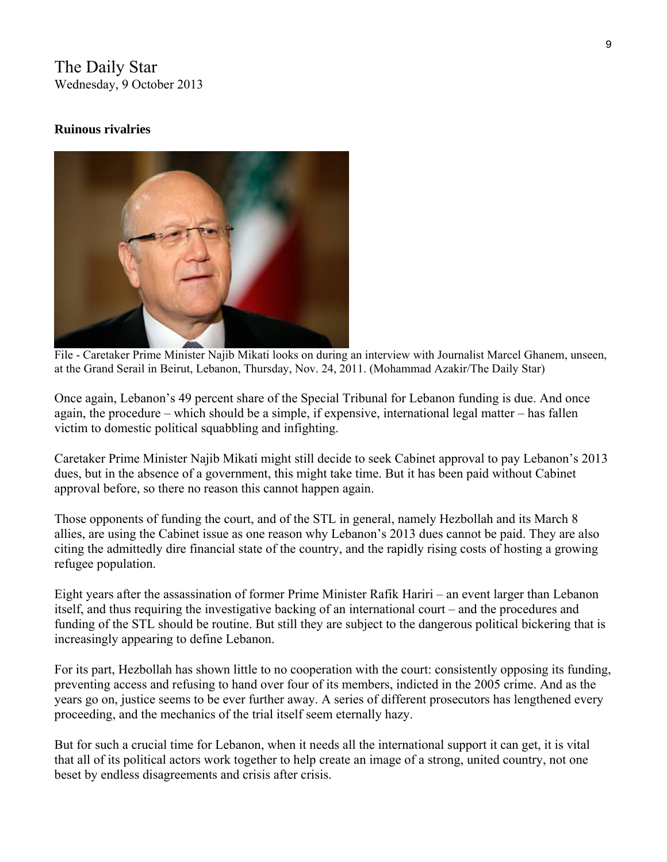The Daily Star Wednesday, 9 October 2013

### **Ruinous rivalries**



File - Caretaker Prime Minister Najib Mikati looks on during an interview with Journalist Marcel Ghanem, unseen, at the Grand Serail in Beirut, Lebanon, Thursday, Nov. 24, 2011. (Mohammad Azakir/The Daily Star)

Once again, Lebanon's 49 percent share of the [Special Tribunal](javascript:void(0)) for [Lebanon](javascript:void(0)) funding is due. And once again, the procedure – which should be a simple, if expensive, international legal matter – has fallen victim to domestic political squabbling and infighting.

Caretaker Prime Minister [Najib Mikati](javascript:void(0)) might still decide to seek Cabinet approval to pay Lebanon's 2013 dues, but in the absence of a government, this might take time. But it has been paid without Cabinet approval before, so there no reason this cannot happen again.

Those opponents of funding the court, and of the STL in general, namely [Hezbollah](javascript:void(0)) and its March 8 allies, are using the Cabinet issue as one reason why Lebanon's 2013 dues cannot be paid. They are also citing the admittedly dire financial state of the country, and the rapidly rising costs of hosting a growing refugee population.

Eight years after the assassination of former Prime Minister [Rafik Hariri](javascript:void(0)) – an event larger than Lebanon itself, and thus requiring the investigative backing of an international court – and the procedures and funding of the STL should be routine. But still they are subject to the dangerous political bickering that is increasingly appearing to define Lebanon.

For its part, Hezbollah has shown little to no cooperation with the court: consistently opposing its funding, preventing access and refusing to hand over four of its members, indicted in the 2005 crime. And as the years go on, justice seems to be ever further away. A series of different prosecutors has lengthened every proceeding, and the mechanics of the trial itself seem eternally hazy.

But for such a crucial time for Lebanon, when it needs all the international support it can get, it is vital that all of its political actors work together to help create an image of a strong, united country, not one beset by endless disagreements and crisis after crisis.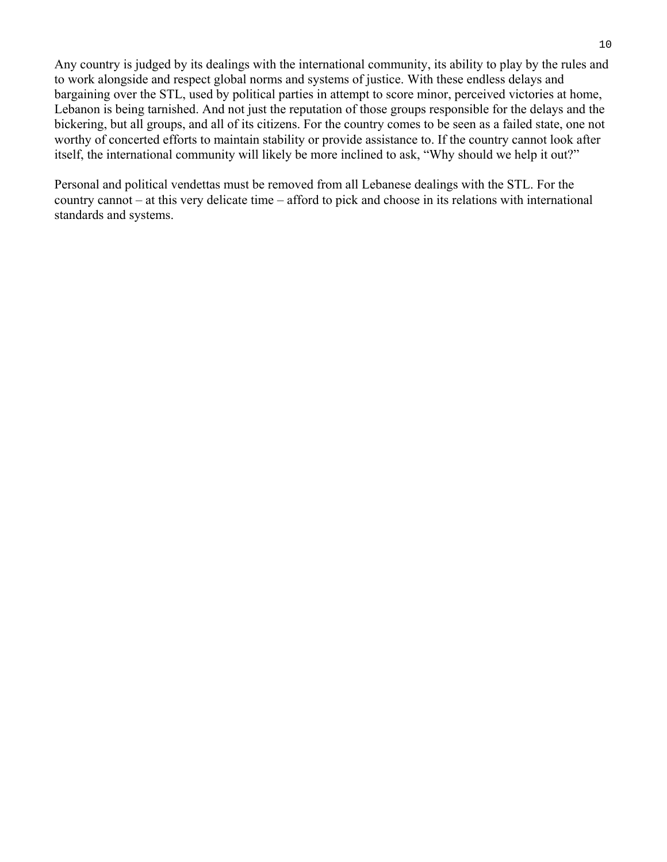Any country is judged by its dealings with the international community, its ability to play by the rules and to work alongside and respect global norms and systems of justice. With these endless delays and bargaining over the STL, used by political parties in attempt to score minor, perceived victories at home, Lebanon is being tarnished. And not just the reputation of those groups responsible for the delays and the bickering, but all groups, and all of its citizens. For the country comes to be seen as a failed state, one not worthy of concerted efforts to maintain stability or provide assistance to. If the country cannot look after itself, the international community will likely be more inclined to ask, "Why should we help it out?"

Personal and political vendettas must be removed from all Lebanese dealings with the STL. For the country cannot – at this very delicate time – afford to pick and choose in its relations with international standards and systems.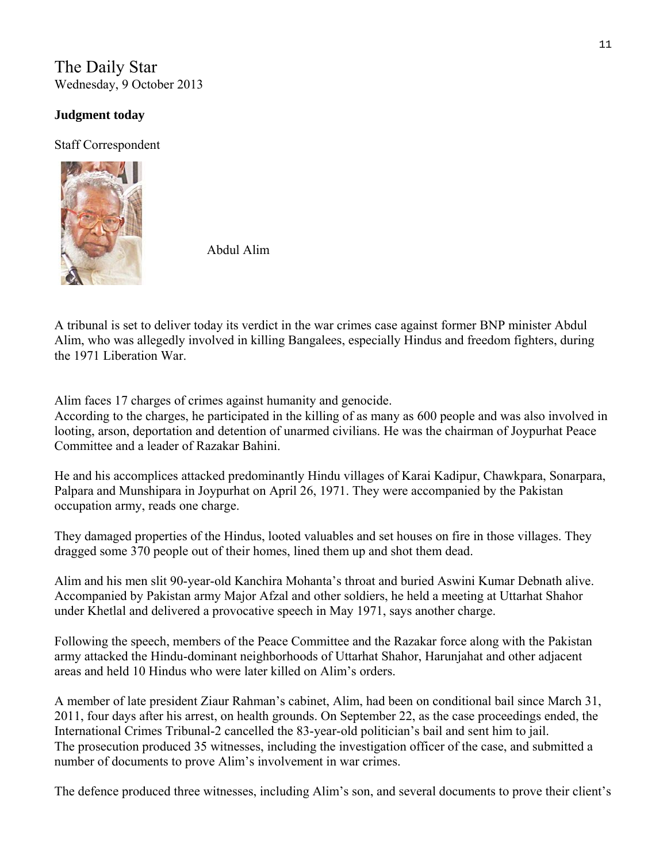The Daily Star Wednesday, 9 October 2013

# **[Judgment today](http://www.thedailystar.net/beta2/news/judgment-today/)**

Staff Correspondent



Abdul Alim

A tribunal is set to deliver today its verdict in the war crimes case against former BNP minister Abdul Alim, who was allegedly involved in killing Bangalees, especially Hindus and freedom fighters, during the 1971 Liberation War.

Alim faces 17 charges of crimes against humanity and genocide.

According to the charges, he participated in the killing of as many as 600 people and was also involved in looting, arson, deportation and detention of unarmed civilians. He was the chairman of Joypurhat Peace Committee and a leader of Razakar Bahini.

He and his accomplices attacked predominantly Hindu villages of Karai Kadipur, Chawkpara, Sonarpara, Palpara and Munshipara in Joypurhat on April 26, 1971. They were accompanied by the Pakistan occupation army, reads one charge.

They damaged properties of the Hindus, looted valuables and set houses on fire in those villages. They dragged some 370 people out of their homes, lined them up and shot them dead.

Alim and his men slit 90-year-old Kanchira Mohanta's throat and buried Aswini Kumar Debnath alive. Accompanied by Pakistan army Major Afzal and other soldiers, he held a meeting at Uttarhat Shahor under Khetlal and delivered a provocative speech in May 1971, says another charge.

Following the speech, members of the Peace Committee and the Razakar force along with the Pakistan army attacked the Hindu-dominant neighborhoods of Uttarhat Shahor, Harunjahat and other adjacent areas and held 10 Hindus who were later killed on Alim's orders.

A member of late president Ziaur Rahman's cabinet, Alim, had been on conditional bail since March 31, 2011, four days after his arrest, on health grounds. On September 22, as the case proceedings ended, the International Crimes Tribunal-2 cancelled the 83-year-old politician's bail and sent him to jail. The prosecution produced 35 witnesses, including the investigation officer of the case, and submitted a number of documents to prove Alim's involvement in war crimes.

The defence produced three witnesses, including Alim's son, and several documents to prove their client's